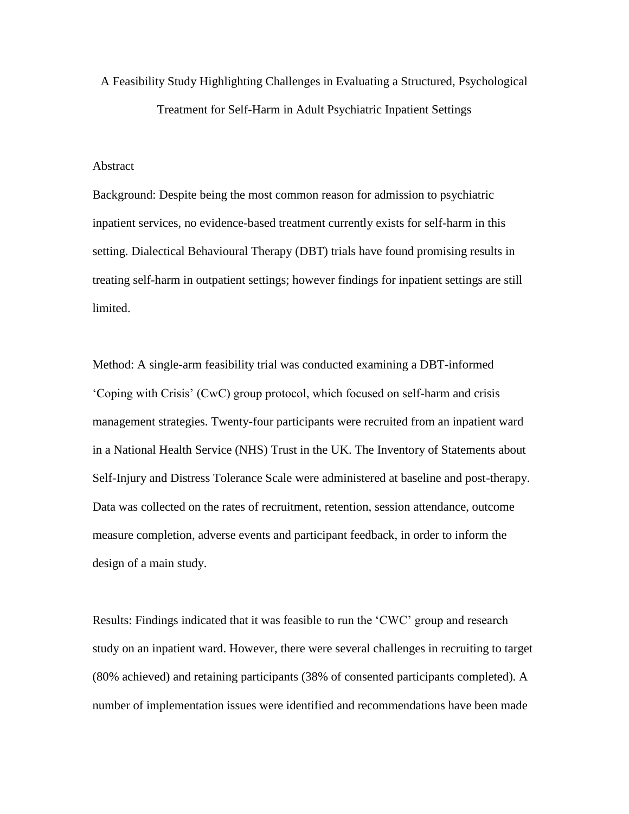A Feasibility Study Highlighting Challenges in Evaluating a Structured, Psychological Treatment for Self-Harm in Adult Psychiatric Inpatient Settings

#### Abstract

Background: Despite being the most common reason for admission to psychiatric inpatient services, no evidence-based treatment currently exists for self-harm in this setting. Dialectical Behavioural Therapy (DBT) trials have found promising results in treating self-harm in outpatient settings; however findings for inpatient settings are still limited.

Method: A single-arm feasibility trial was conducted examining a DBT-informed 'Coping with Crisis' (CwC) group protocol, which focused on self-harm and crisis management strategies. Twenty-four participants were recruited from an inpatient ward in a National Health Service (NHS) Trust in the UK. The Inventory of Statements about Self-Injury and Distress Tolerance Scale were administered at baseline and post-therapy. Data was collected on the rates of recruitment, retention, session attendance, outcome measure completion, adverse events and participant feedback, in order to inform the design of a main study.

Results: Findings indicated that it was feasible to run the 'CWC' group and research study on an inpatient ward. However, there were several challenges in recruiting to target (80% achieved) and retaining participants (38% of consented participants completed). A number of implementation issues were identified and recommendations have been made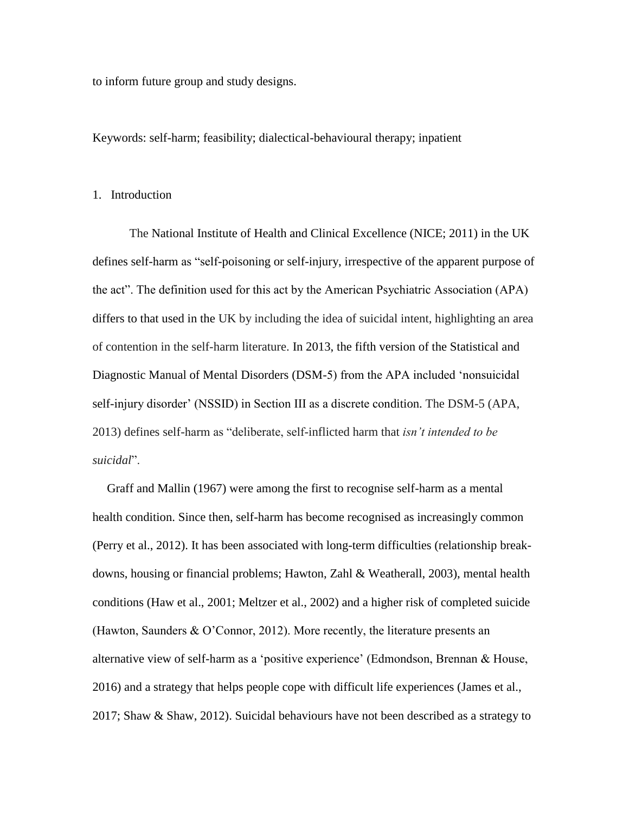to inform future group and study designs.

Keywords: self-harm; feasibility; dialectical-behavioural therapy; inpatient

#### 1. Introduction

The National Institute of Health and Clinical Excellence (NICE; 2011) in the UK defines self-harm as "self-poisoning or self-injury, irrespective of the apparent purpose of the act". The definition used for this act by the American Psychiatric Association (APA) differs to that used in the UK by including the idea of suicidal intent, highlighting an area of contention in the self-harm literature. In 2013, the fifth version of the Statistical and Diagnostic Manual of Mental Disorders (DSM-5) from the APA included 'nonsuicidal self-injury disorder' (NSSID) in Section III as a discrete condition. The DSM-5 (APA, 2013) defines self-harm as "deliberate, self-inflicted harm that *isn't intended to be suicidal*".

Graff and Mallin (1967) were among the first to recognise self-harm as a mental health condition. Since then, self-harm has become recognised as increasingly common (Perry et al., 2012). It has been associated with long-term difficulties (relationship breakdowns, housing or financial problems; Hawton, Zahl & Weatherall, 2003), mental health conditions (Haw et al., 2001; Meltzer et al., 2002) and a higher risk of completed suicide (Hawton, Saunders & O'Connor, 2012). More recently, the literature presents an alternative view of self-harm as a 'positive experience' (Edmondson, Brennan & House, 2016) and a strategy that helps people cope with difficult life experiences (James et al., 2017; Shaw & Shaw, 2012). Suicidal behaviours have not been described as a strategy to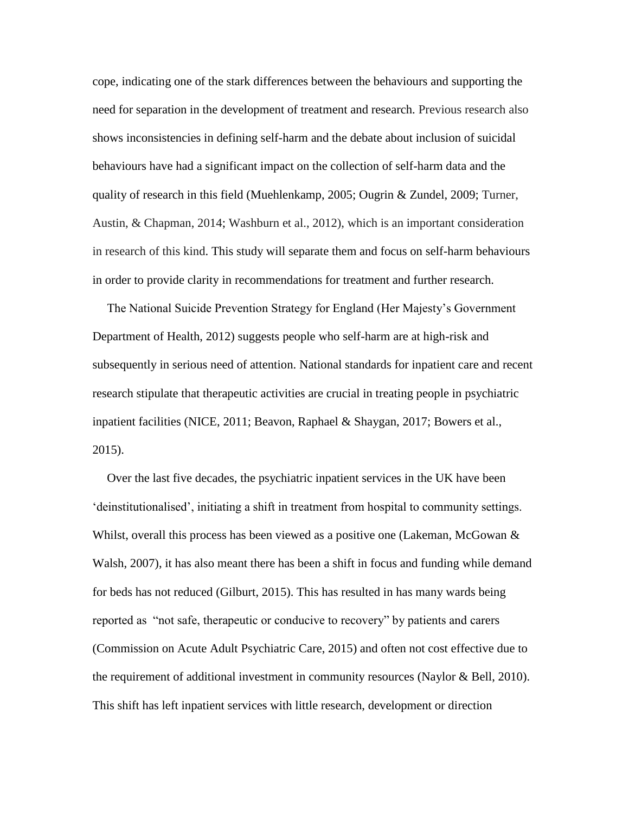cope, indicating one of the stark differences between the behaviours and supporting the need for separation in the development of treatment and research. Previous research also shows inconsistencies in defining self-harm and the debate about inclusion of suicidal behaviours have had a significant impact on the collection of self-harm data and the quality of research in this field (Muehlenkamp, 2005; Ougrin & Zundel, 2009; Turner, Austin, & Chapman, 2014; Washburn et al., 2012), which is an important consideration in research of this kind. This study will separate them and focus on self-harm behaviours in order to provide clarity in recommendations for treatment and further research.

The National Suicide Prevention Strategy for England (Her Majesty's Government Department of Health, 2012) suggests people who self-harm are at high-risk and subsequently in serious need of attention. National standards for inpatient care and recent research stipulate that therapeutic activities are crucial in treating people in psychiatric inpatient facilities (NICE, 2011; Beavon, Raphael & Shaygan, 2017; Bowers et al., 2015).

Over the last five decades, the psychiatric inpatient services in the UK have been 'deinstitutionalised', initiating a shift in treatment from hospital to community settings. Whilst, overall this process has been viewed as a positive one (Lakeman, McGowan & Walsh, 2007), it has also meant there has been a shift in focus and funding while demand for beds has not reduced (Gilburt, 2015). This has resulted in has many wards being reported as "not safe, therapeutic or conducive to recovery" by patients and carers (Commission on Acute Adult Psychiatric Care, 2015) and often not cost effective due to the requirement of additional investment in community resources (Naylor & Bell, 2010). This shift has left inpatient services with little research, development or direction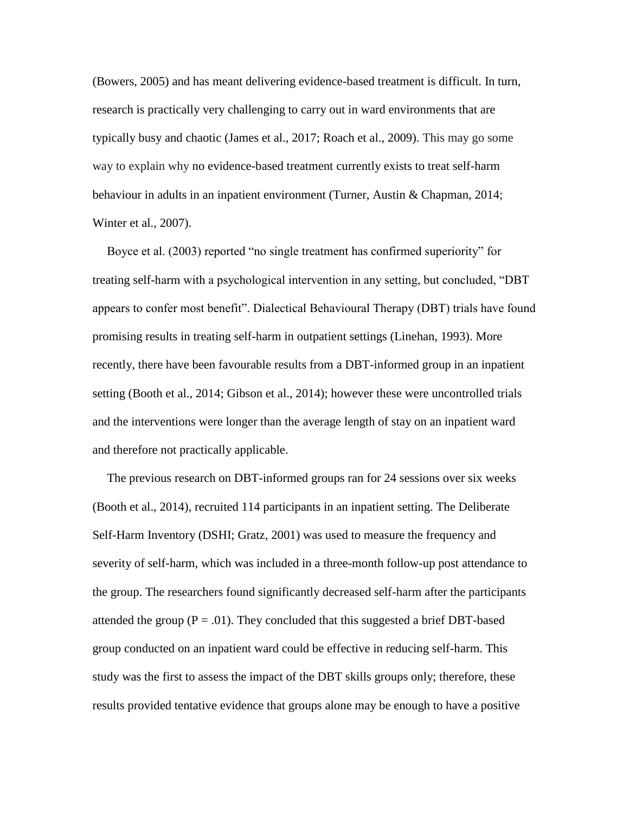(Bowers, 2005) and has meant delivering evidence-based treatment is difficult. In turn, research is practically very challenging to carry out in ward environments that are typically busy and chaotic (James et al., 2017; Roach et al., 2009). This may go some way to explain why no evidence-based treatment currently exists to treat self-harm behaviour in adults in an inpatient environment (Turner, Austin & Chapman, 2014; Winter et al., 2007).

Boyce et al. (2003) reported "no single treatment has confirmed superiority" for treating self-harm with a psychological intervention in any setting, but concluded, "DBT appears to confer most benefit". Dialectical Behavioural Therapy (DBT) trials have found promising results in treating self-harm in outpatient settings (Linehan, 1993). More recently, there have been favourable results from a DBT-informed group in an inpatient setting (Booth et al., 2014; Gibson et al., 2014); however these were uncontrolled trials and the interventions were longer than the average length of stay on an inpatient ward and therefore not practically applicable.

The previous research on DBT-informed groups ran for 24 sessions over six weeks (Booth et al., 2014), recruited 114 participants in an inpatient setting. The Deliberate Self-Harm Inventory (DSHI; Gratz, 2001) was used to measure the frequency and severity of self-harm, which was included in a three-month follow-up post attendance to the group. The researchers found significantly decreased self-harm after the participants attended the group ( $P = .01$ ). They concluded that this suggested a brief DBT-based group conducted on an inpatient ward could be effective in reducing self-harm. This study was the first to assess the impact of the DBT skills groups only; therefore, these results provided tentative evidence that groups alone may be enough to have a positive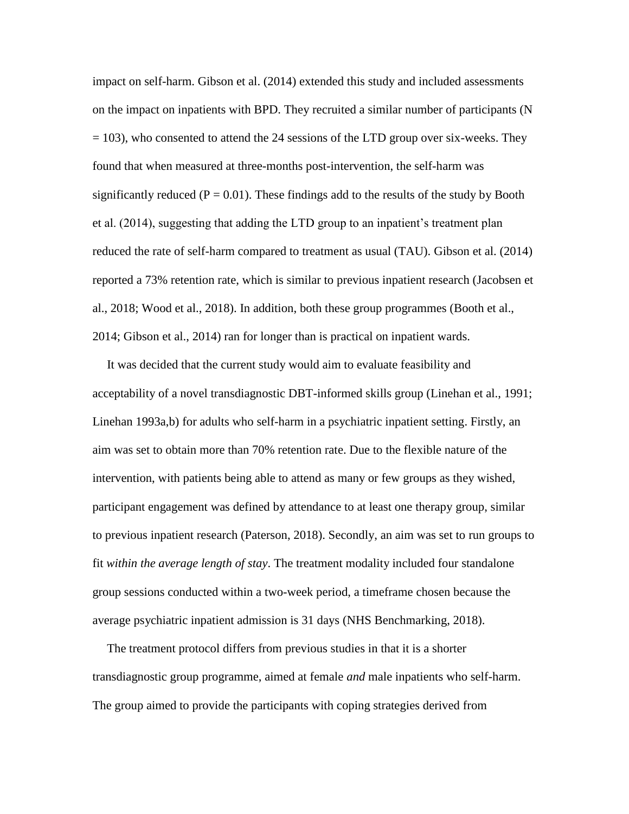impact on self-harm. Gibson et al. (2014) extended this study and included assessments on the impact on inpatients with BPD. They recruited a similar number of participants (N  $= 103$ ), who consented to attend the 24 sessions of the LTD group over six-weeks. They found that when measured at three-months post-intervention, the self-harm was significantly reduced ( $P = 0.01$ ). These findings add to the results of the study by Booth et al. (2014), suggesting that adding the LTD group to an inpatient's treatment plan reduced the rate of self-harm compared to treatment as usual (TAU). Gibson et al. (2014) reported a 73% retention rate, which is similar to previous inpatient research (Jacobsen et al., 2018; Wood et al., 2018). In addition, both these group programmes (Booth et al., 2014; Gibson et al., 2014) ran for longer than is practical on inpatient wards.

It was decided that the current study would aim to evaluate feasibility and acceptability of a novel transdiagnostic DBT-informed skills group (Linehan et al., 1991; Linehan 1993a,b) for adults who self-harm in a psychiatric inpatient setting. Firstly, an aim was set to obtain more than 70% retention rate. Due to the flexible nature of the intervention, with patients being able to attend as many or few groups as they wished, participant engagement was defined by attendance to at least one therapy group, similar to previous inpatient research (Paterson, 2018). Secondly, an aim was set to run groups to fit *within the average length of stay*. The treatment modality included four standalone group sessions conducted within a two-week period, a timeframe chosen because the average psychiatric inpatient admission is 31 days (NHS Benchmarking, 2018).

The treatment protocol differs from previous studies in that it is a shorter transdiagnostic group programme, aimed at female *and* male inpatients who self-harm. The group aimed to provide the participants with coping strategies derived from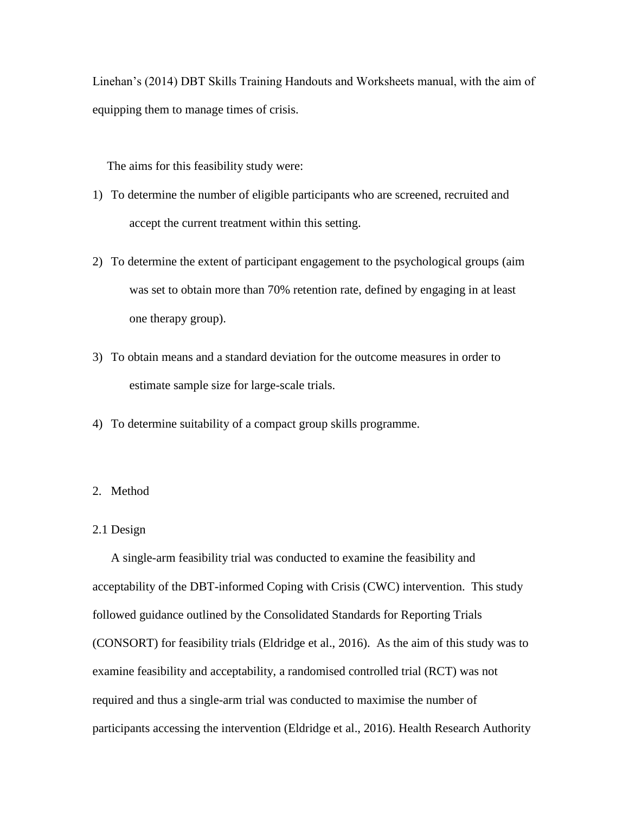Linehan's (2014) DBT Skills Training Handouts and Worksheets manual, with the aim of equipping them to manage times of crisis.

The aims for this feasibility study were:

- 1) To determine the number of eligible participants who are screened, recruited and accept the current treatment within this setting.
- 2) To determine the extent of participant engagement to the psychological groups (aim was set to obtain more than 70% retention rate, defined by engaging in at least one therapy group).
- 3) To obtain means and a standard deviation for the outcome measures in order to estimate sample size for large-scale trials.
- 4) To determine suitability of a compact group skills programme.

#### 2. Method

## 2.1 Design

A single-arm feasibility trial was conducted to examine the feasibility and acceptability of the DBT-informed Coping with Crisis (CWC) intervention. This study followed guidance outlined by the Consolidated Standards for Reporting Trials (CONSORT) for feasibility trials (Eldridge et al., 2016). As the aim of this study was to examine feasibility and acceptability, a randomised controlled trial (RCT) was not required and thus a single-arm trial was conducted to maximise the number of participants accessing the intervention (Eldridge et al., 2016). Health Research Authority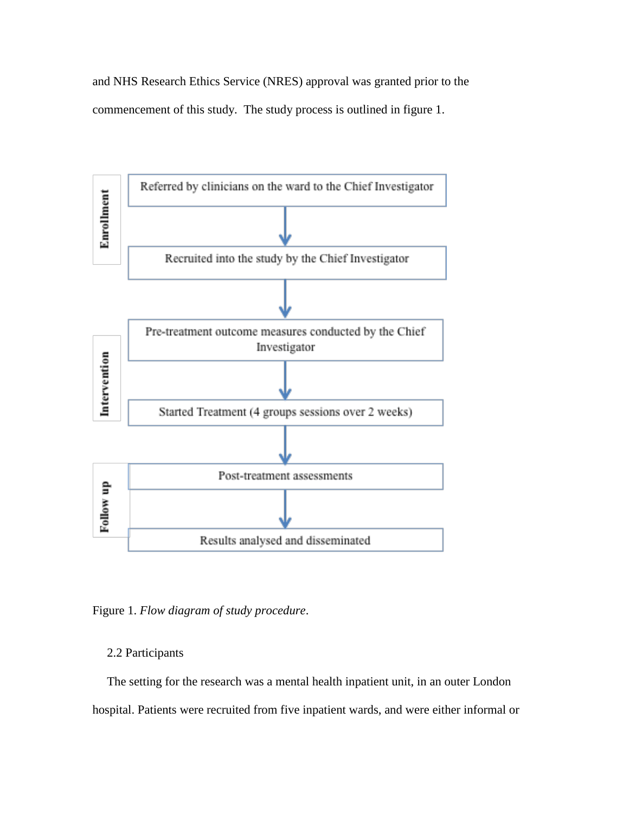and NHS Research Ethics Service (NRES) approval was granted prior to the commencement of this study. The study process is outlined in figure 1.



Figure 1. *Flow diagram of study procedure*.

# 2.2 Participants

The setting for the research was a mental health inpatient unit, in an outer London hospital. Patients were recruited from five inpatient wards, and were either informal or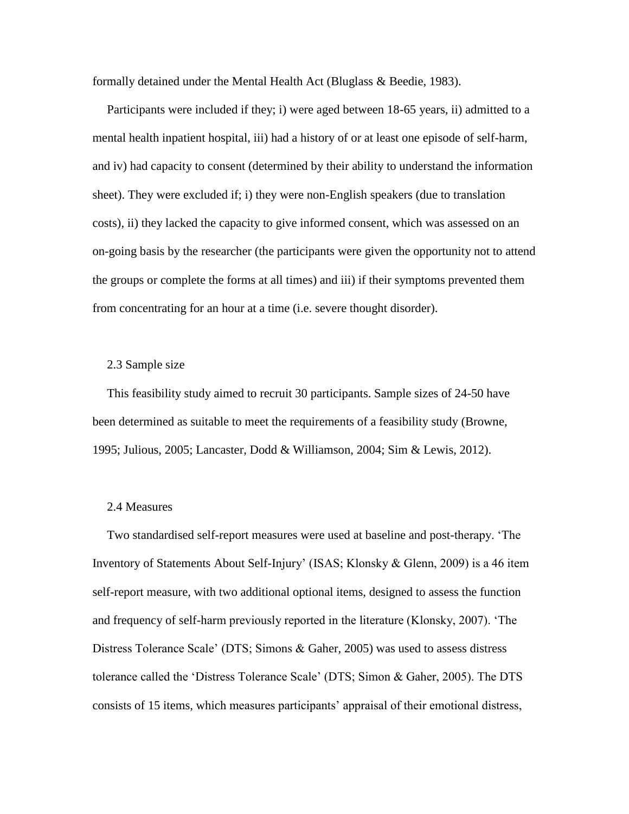formally detained under the Mental Health Act (Bluglass & Beedie, 1983).

Participants were included if they; i) were aged between 18-65 years, ii) admitted to a mental health inpatient hospital, iii) had a history of or at least one episode of self-harm, and iv) had capacity to consent (determined by their ability to understand the information sheet). They were excluded if; i) they were non-English speakers (due to translation costs), ii) they lacked the capacity to give informed consent, which was assessed on an on-going basis by the researcher (the participants were given the opportunity not to attend the groups or complete the forms at all times) and iii) if their symptoms prevented them from concentrating for an hour at a time (i.e. severe thought disorder).

#### 2.3 Sample size

This feasibility study aimed to recruit 30 participants. Sample sizes of 24-50 have been determined as suitable to meet the requirements of a feasibility study (Browne, 1995; Julious, 2005; Lancaster, Dodd & Williamson, 2004; Sim & Lewis, 2012).

#### 2.4 Measures

Two standardised self-report measures were used at baseline and post-therapy. 'The Inventory of Statements About Self-Injury' (ISAS; Klonsky & Glenn, 2009) is a 46 item self-report measure, with two additional optional items, designed to assess the function and frequency of self-harm previously reported in the literature (Klonsky, 2007). 'The Distress Tolerance Scale' (DTS; Simons & Gaher, 2005) was used to assess distress tolerance called the 'Distress Tolerance Scale' (DTS; Simon & Gaher, 2005). The DTS consists of 15 items, which measures participants' appraisal of their emotional distress,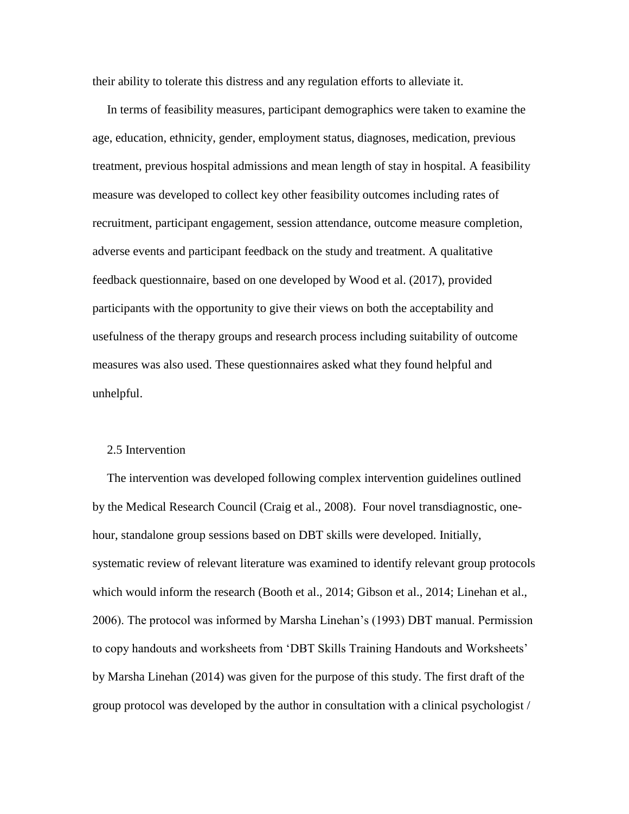their ability to tolerate this distress and any regulation efforts to alleviate it.

In terms of feasibility measures, participant demographics were taken to examine the age, education, ethnicity, gender, employment status, diagnoses, medication, previous treatment, previous hospital admissions and mean length of stay in hospital. A feasibility measure was developed to collect key other feasibility outcomes including rates of recruitment, participant engagement, session attendance, outcome measure completion, adverse events and participant feedback on the study and treatment. A qualitative feedback questionnaire, based on one developed by Wood et al. (2017), provided participants with the opportunity to give their views on both the acceptability and usefulness of the therapy groups and research process including suitability of outcome measures was also used. These questionnaires asked what they found helpful and unhelpful.

#### 2.5 Intervention

The intervention was developed following complex intervention guidelines outlined by the Medical Research Council (Craig et al., 2008). Four novel transdiagnostic, onehour, standalone group sessions based on DBT skills were developed. Initially, systematic review of relevant literature was examined to identify relevant group protocols which would inform the research (Booth et al., 2014; Gibson et al., 2014; Linehan et al., 2006). The protocol was informed by Marsha Linehan's (1993) DBT manual. Permission to copy handouts and worksheets from 'DBT Skills Training Handouts and Worksheets' by Marsha Linehan (2014) was given for the purpose of this study. The first draft of the group protocol was developed by the author in consultation with a clinical psychologist /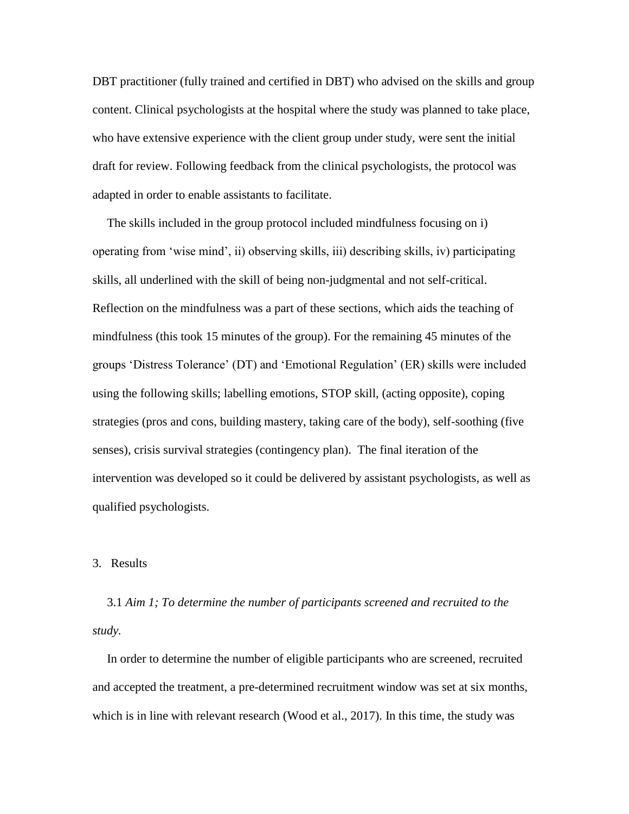DBT practitioner (fully trained and certified in DBT) who advised on the skills and group content. Clinical psychologists at the hospital where the study was planned to take place, who have extensive experience with the client group under study, were sent the initial draft for review. Following feedback from the clinical psychologists, the protocol was adapted in order to enable assistants to facilitate.

The skills included in the group protocol included mindfulness focusing on i) operating from 'wise mind', ii) observing skills, iii) describing skills, iv) participating skills, all underlined with the skill of being non-judgmental and not self-critical. Reflection on the mindfulness was a part of these sections, which aids the teaching of mindfulness (this took 15 minutes of the group). For the remaining 45 minutes of the groups 'Distress Tolerance' (DT) and 'Emotional Regulation' (ER) skills were included using the following skills; labelling emotions, STOP skill, (acting opposite), coping strategies (pros and cons, building mastery, taking care of the body), self-soothing (five senses), crisis survival strategies (contingency plan). The final iteration of the intervention was developed so it could be delivered by assistant psychologists, as well as qualified psychologists.

#### 3. Results

3.1 *Aim 1; To determine the number of participants screened and recruited to the study.*

In order to determine the number of eligible participants who are screened, recruited and accepted the treatment, a pre-determined recruitment window was set at six months, which is in line with relevant research (Wood et al., 2017). In this time, the study was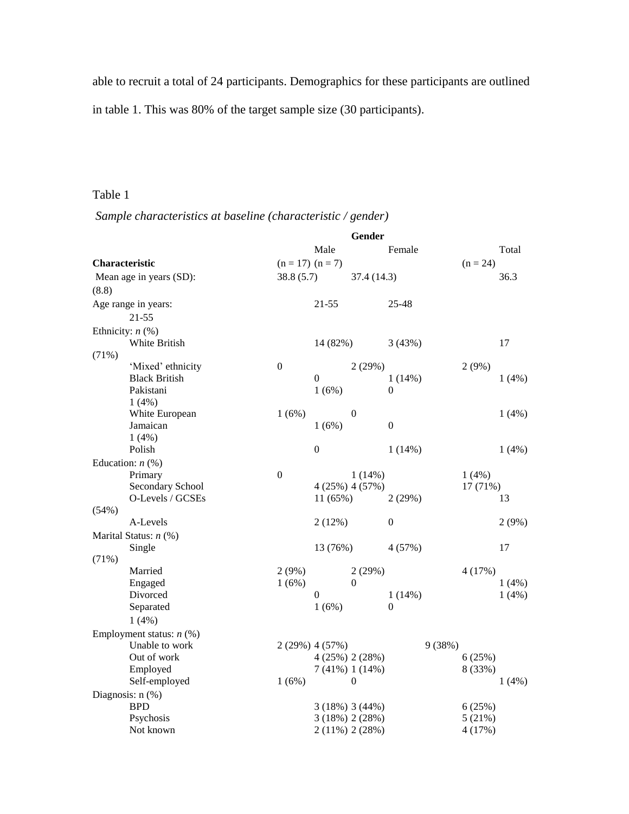able to recruit a total of 24 participants. Demographics for these participants are outlined in table 1. This was 80% of the target sample size (30 participants).

# Table 1

*Sample characteristics at baseline (characteristic / gender)*

| Male<br>Female<br>Total<br>Characteristic<br>$(n = 17)$ $(n = 7)$<br>$(n = 24)$<br>38.8(5.7)<br>Mean age in years (SD):<br>37.4 (14.3)<br>36.3<br>(8.8)<br>Age range in years:<br>$21 - 55$<br>25-48<br>$21 - 55$<br>Ethnicity: $n$ (%)<br>White British<br>14 (82%)<br>3(43%)<br>17<br>(71%)<br>$\mathbf{0}$<br>2(29%)<br>2(9%)<br>'Mixed' ethnicity<br><b>Black British</b><br>$\boldsymbol{0}$<br>1(4%)<br>$1(14\%)$<br>Pakistani<br>1(6%)<br>$\theta$<br>1(4%)<br>White European<br>1(6%)<br>$\theta$<br>1(4%)<br>$\boldsymbol{0}$<br>Jamaican<br>1(6%)<br>1(4%)<br>Polish<br>$\boldsymbol{0}$<br>1(14%)<br>1(4%)<br>Education: $n$ (%)<br>$\boldsymbol{0}$<br>Primary<br>$1(14\%)$<br>1(4%)<br>Secondary School<br>4(25%) 4(57%)<br>17 (71%)<br>O-Levels / GCSEs<br>2(29%)<br>13<br>11(65%)<br>(54%)<br>A-Levels<br>2(12%)<br>$\boldsymbol{0}$<br>2(9%)<br>Marital Status: n (%)<br>Single<br>17<br>13 (76%)<br>4(57%)<br>(71%)<br>Married<br>$2(9\%)$<br>2(29%)<br>4(17%)<br>Engaged<br>1(6%)<br>$\theta$<br>1(4%)<br>Divorced<br>$\boldsymbol{0}$<br>$1(14\%)$<br>1(4%)<br>1(6%)<br>$\overline{0}$<br>Separated<br>1(4%) |
|---------------------------------------------------------------------------------------------------------------------------------------------------------------------------------------------------------------------------------------------------------------------------------------------------------------------------------------------------------------------------------------------------------------------------------------------------------------------------------------------------------------------------------------------------------------------------------------------------------------------------------------------------------------------------------------------------------------------------------------------------------------------------------------------------------------------------------------------------------------------------------------------------------------------------------------------------------------------------------------------------------------------------------------------------------------------------------------------------------------------------------|
|                                                                                                                                                                                                                                                                                                                                                                                                                                                                                                                                                                                                                                                                                                                                                                                                                                                                                                                                                                                                                                                                                                                                 |
|                                                                                                                                                                                                                                                                                                                                                                                                                                                                                                                                                                                                                                                                                                                                                                                                                                                                                                                                                                                                                                                                                                                                 |
|                                                                                                                                                                                                                                                                                                                                                                                                                                                                                                                                                                                                                                                                                                                                                                                                                                                                                                                                                                                                                                                                                                                                 |
|                                                                                                                                                                                                                                                                                                                                                                                                                                                                                                                                                                                                                                                                                                                                                                                                                                                                                                                                                                                                                                                                                                                                 |
|                                                                                                                                                                                                                                                                                                                                                                                                                                                                                                                                                                                                                                                                                                                                                                                                                                                                                                                                                                                                                                                                                                                                 |
|                                                                                                                                                                                                                                                                                                                                                                                                                                                                                                                                                                                                                                                                                                                                                                                                                                                                                                                                                                                                                                                                                                                                 |
|                                                                                                                                                                                                                                                                                                                                                                                                                                                                                                                                                                                                                                                                                                                                                                                                                                                                                                                                                                                                                                                                                                                                 |
|                                                                                                                                                                                                                                                                                                                                                                                                                                                                                                                                                                                                                                                                                                                                                                                                                                                                                                                                                                                                                                                                                                                                 |
|                                                                                                                                                                                                                                                                                                                                                                                                                                                                                                                                                                                                                                                                                                                                                                                                                                                                                                                                                                                                                                                                                                                                 |
|                                                                                                                                                                                                                                                                                                                                                                                                                                                                                                                                                                                                                                                                                                                                                                                                                                                                                                                                                                                                                                                                                                                                 |
|                                                                                                                                                                                                                                                                                                                                                                                                                                                                                                                                                                                                                                                                                                                                                                                                                                                                                                                                                                                                                                                                                                                                 |
|                                                                                                                                                                                                                                                                                                                                                                                                                                                                                                                                                                                                                                                                                                                                                                                                                                                                                                                                                                                                                                                                                                                                 |
|                                                                                                                                                                                                                                                                                                                                                                                                                                                                                                                                                                                                                                                                                                                                                                                                                                                                                                                                                                                                                                                                                                                                 |
|                                                                                                                                                                                                                                                                                                                                                                                                                                                                                                                                                                                                                                                                                                                                                                                                                                                                                                                                                                                                                                                                                                                                 |
|                                                                                                                                                                                                                                                                                                                                                                                                                                                                                                                                                                                                                                                                                                                                                                                                                                                                                                                                                                                                                                                                                                                                 |
|                                                                                                                                                                                                                                                                                                                                                                                                                                                                                                                                                                                                                                                                                                                                                                                                                                                                                                                                                                                                                                                                                                                                 |
|                                                                                                                                                                                                                                                                                                                                                                                                                                                                                                                                                                                                                                                                                                                                                                                                                                                                                                                                                                                                                                                                                                                                 |
|                                                                                                                                                                                                                                                                                                                                                                                                                                                                                                                                                                                                                                                                                                                                                                                                                                                                                                                                                                                                                                                                                                                                 |
|                                                                                                                                                                                                                                                                                                                                                                                                                                                                                                                                                                                                                                                                                                                                                                                                                                                                                                                                                                                                                                                                                                                                 |
|                                                                                                                                                                                                                                                                                                                                                                                                                                                                                                                                                                                                                                                                                                                                                                                                                                                                                                                                                                                                                                                                                                                                 |
|                                                                                                                                                                                                                                                                                                                                                                                                                                                                                                                                                                                                                                                                                                                                                                                                                                                                                                                                                                                                                                                                                                                                 |
|                                                                                                                                                                                                                                                                                                                                                                                                                                                                                                                                                                                                                                                                                                                                                                                                                                                                                                                                                                                                                                                                                                                                 |
|                                                                                                                                                                                                                                                                                                                                                                                                                                                                                                                                                                                                                                                                                                                                                                                                                                                                                                                                                                                                                                                                                                                                 |
|                                                                                                                                                                                                                                                                                                                                                                                                                                                                                                                                                                                                                                                                                                                                                                                                                                                                                                                                                                                                                                                                                                                                 |
|                                                                                                                                                                                                                                                                                                                                                                                                                                                                                                                                                                                                                                                                                                                                                                                                                                                                                                                                                                                                                                                                                                                                 |
|                                                                                                                                                                                                                                                                                                                                                                                                                                                                                                                                                                                                                                                                                                                                                                                                                                                                                                                                                                                                                                                                                                                                 |
|                                                                                                                                                                                                                                                                                                                                                                                                                                                                                                                                                                                                                                                                                                                                                                                                                                                                                                                                                                                                                                                                                                                                 |
|                                                                                                                                                                                                                                                                                                                                                                                                                                                                                                                                                                                                                                                                                                                                                                                                                                                                                                                                                                                                                                                                                                                                 |
|                                                                                                                                                                                                                                                                                                                                                                                                                                                                                                                                                                                                                                                                                                                                                                                                                                                                                                                                                                                                                                                                                                                                 |
|                                                                                                                                                                                                                                                                                                                                                                                                                                                                                                                                                                                                                                                                                                                                                                                                                                                                                                                                                                                                                                                                                                                                 |
| Employment status: $n$ (%)                                                                                                                                                                                                                                                                                                                                                                                                                                                                                                                                                                                                                                                                                                                                                                                                                                                                                                                                                                                                                                                                                                      |
| Unable to work<br>2 (29%) 4 (57%)<br>9(38%)                                                                                                                                                                                                                                                                                                                                                                                                                                                                                                                                                                                                                                                                                                                                                                                                                                                                                                                                                                                                                                                                                     |
| Out of work<br>4(25%) 2(28%)<br>6(25%)                                                                                                                                                                                                                                                                                                                                                                                                                                                                                                                                                                                                                                                                                                                                                                                                                                                                                                                                                                                                                                                                                          |
| Employed<br>8 (33%)<br>$7(41\%)$ 1 (14%)                                                                                                                                                                                                                                                                                                                                                                                                                                                                                                                                                                                                                                                                                                                                                                                                                                                                                                                                                                                                                                                                                        |
| Self-employed<br>1(6%)<br>$\theta$<br>1(4%)                                                                                                                                                                                                                                                                                                                                                                                                                                                                                                                                                                                                                                                                                                                                                                                                                                                                                                                                                                                                                                                                                     |
| Diagnosis: $n$ $(\%)$<br><b>BPD</b>                                                                                                                                                                                                                                                                                                                                                                                                                                                                                                                                                                                                                                                                                                                                                                                                                                                                                                                                                                                                                                                                                             |
| $3(18\%)$ 3 (44%)<br>6(25%)<br>Psychosis<br>$3(18%)$ 2 $(28%)$<br>5(21%)                                                                                                                                                                                                                                                                                                                                                                                                                                                                                                                                                                                                                                                                                                                                                                                                                                                                                                                                                                                                                                                        |
| $2(11\%) 2(28\%)$<br>4(17%)<br>Not known                                                                                                                                                                                                                                                                                                                                                                                                                                                                                                                                                                                                                                                                                                                                                                                                                                                                                                                                                                                                                                                                                        |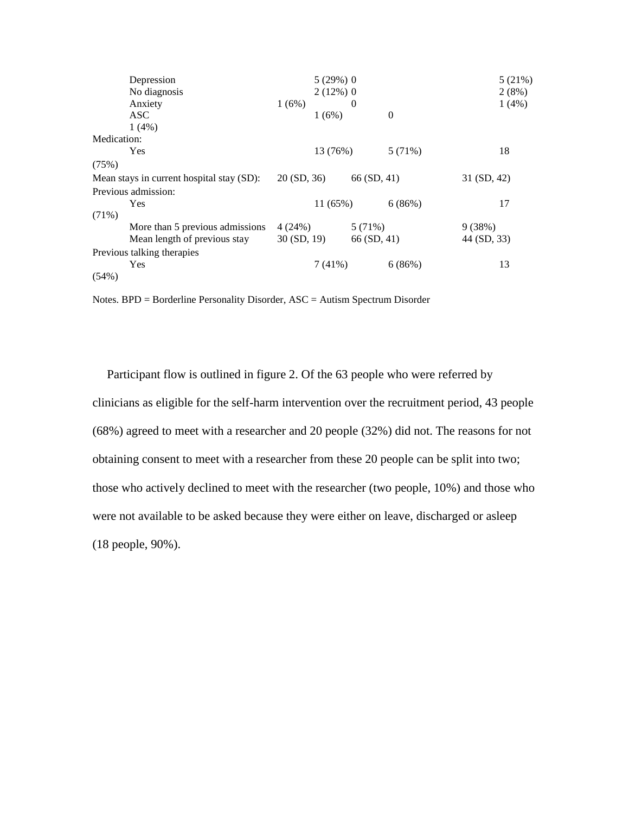| Depression                                |            | $5(29%)$ 0  |                |          |             | 5 (21%) |
|-------------------------------------------|------------|-------------|----------------|----------|-------------|---------|
| No diagnosis                              |            | $2(12\%)$ 0 |                |          |             | 2(8%)   |
| Anxiety                                   | 1(6%)      |             | $\overline{0}$ |          |             | 1(4%)   |
| <b>ASC</b>                                |            | 1(6%)       |                | $\theta$ |             |         |
| 1(4%)                                     |            |             |                |          |             |         |
| Medication:                               |            |             |                |          |             |         |
| Yes                                       |            | 13 (76%)    |                | 5(71%)   |             | 18      |
| (75%)                                     |            |             |                |          |             |         |
| Mean stays in current hospital stay (SD): | 20(SD, 36) |             | 66(SD, 41)     |          | 31 (SD, 42) |         |
| Previous admission:                       |            |             |                |          |             |         |
| Yes                                       |            | 11(65%)     |                | 6(86%)   |             | 17      |
| $(71\%)$                                  |            |             |                |          |             |         |
| More than 5 previous admissions           | 4(24%)     |             | 5 (71%)        |          | 9(38%)      |         |
| Mean length of previous stay              | 30(SD, 19) |             | 66 (SD, 41)    |          | 44 (SD, 33) |         |
| Previous talking therapies                |            |             |                |          |             |         |
| Yes                                       |            | 7(41%)      |                | 6(86%)   |             | 13      |
| $(54\%)$                                  |            |             |                |          |             |         |

Notes. BPD = Borderline Personality Disorder, ASC = Autism Spectrum Disorder

Participant flow is outlined in figure 2. Of the 63 people who were referred by clinicians as eligible for the self-harm intervention over the recruitment period, 43 people (68%) agreed to meet with a researcher and 20 people (32%) did not. The reasons for not obtaining consent to meet with a researcher from these 20 people can be split into two; those who actively declined to meet with the researcher (two people, 10%) and those who were not available to be asked because they were either on leave, discharged or asleep (18 people, 90%).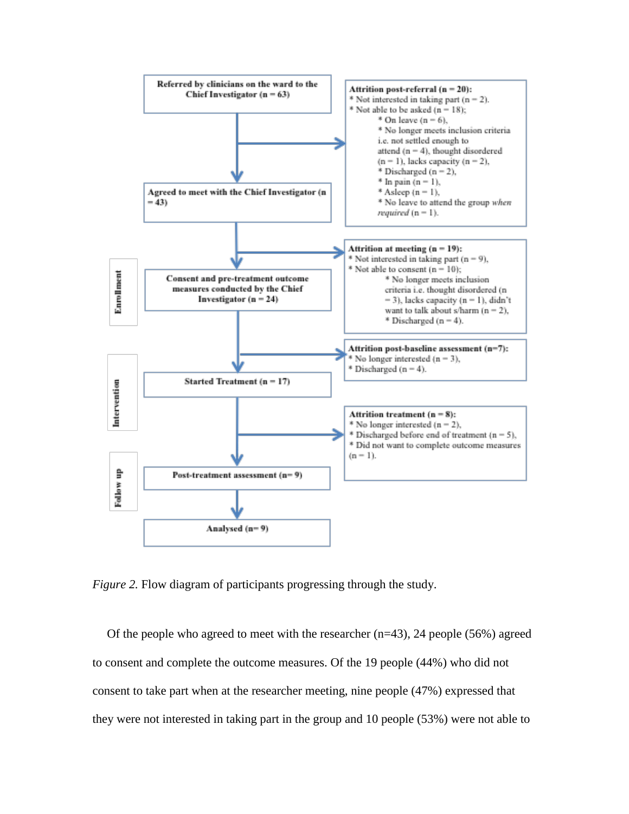

*Figure 2.* Flow diagram of participants progressing through the study.

Of the people who agreed to meet with the researcher  $(n=43)$ , 24 people (56%) agreed to consent and complete the outcome measures. Of the 19 people (44%) who did not consent to take part when at the researcher meeting, nine people (47%) expressed that they were not interested in taking part in the group and 10 people (53%) were not able to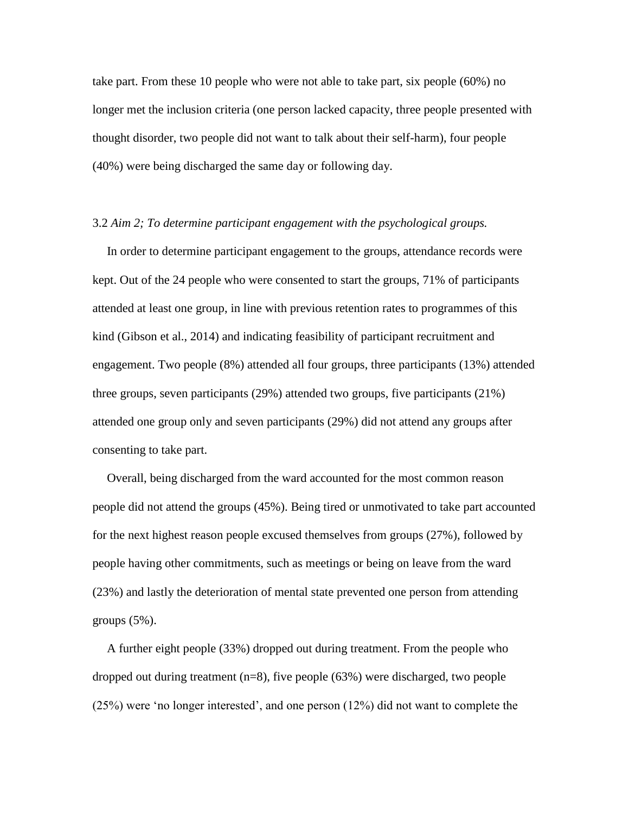take part. From these 10 people who were not able to take part, six people (60%) no longer met the inclusion criteria (one person lacked capacity, three people presented with thought disorder, two people did not want to talk about their self-harm), four people (40%) were being discharged the same day or following day.

#### 3.2 *Aim 2; To determine participant engagement with the psychological groups.*

In order to determine participant engagement to the groups, attendance records were kept. Out of the 24 people who were consented to start the groups, 71% of participants attended at least one group, in line with previous retention rates to programmes of this kind (Gibson et al., 2014) and indicating feasibility of participant recruitment and engagement. Two people (8%) attended all four groups, three participants (13%) attended three groups, seven participants (29%) attended two groups, five participants (21%) attended one group only and seven participants (29%) did not attend any groups after consenting to take part.

Overall, being discharged from the ward accounted for the most common reason people did not attend the groups (45%). Being tired or unmotivated to take part accounted for the next highest reason people excused themselves from groups (27%), followed by people having other commitments, such as meetings or being on leave from the ward (23%) and lastly the deterioration of mental state prevented one person from attending groups  $(5\%)$ .

A further eight people (33%) dropped out during treatment. From the people who dropped out during treatment  $(n=8)$ , five people  $(63%)$  were discharged, two people (25%) were 'no longer interested', and one person (12%) did not want to complete the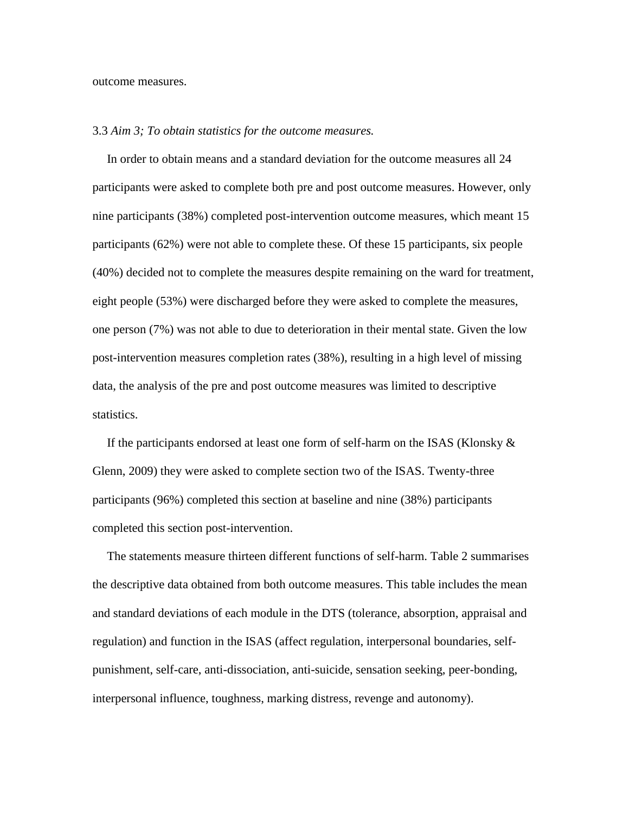outcome measures.

#### 3.3 *Aim 3; To obtain statistics for the outcome measures.*

In order to obtain means and a standard deviation for the outcome measures all 24 participants were asked to complete both pre and post outcome measures. However, only nine participants (38%) completed post-intervention outcome measures, which meant 15 participants (62%) were not able to complete these. Of these 15 participants, six people (40%) decided not to complete the measures despite remaining on the ward for treatment, eight people (53%) were discharged before they were asked to complete the measures, one person (7%) was not able to due to deterioration in their mental state. Given the low post-intervention measures completion rates (38%), resulting in a high level of missing data, the analysis of the pre and post outcome measures was limited to descriptive statistics.

If the participants endorsed at least one form of self-harm on the ISAS (Klonsky  $\&$ Glenn, 2009) they were asked to complete section two of the ISAS. Twenty-three participants (96%) completed this section at baseline and nine (38%) participants completed this section post-intervention.

The statements measure thirteen different functions of self-harm. Table 2 summarises the descriptive data obtained from both outcome measures. This table includes the mean and standard deviations of each module in the DTS (tolerance, absorption, appraisal and regulation) and function in the ISAS (affect regulation, interpersonal boundaries, selfpunishment, self-care, anti-dissociation, anti-suicide, sensation seeking, peer-bonding, interpersonal influence, toughness, marking distress, revenge and autonomy).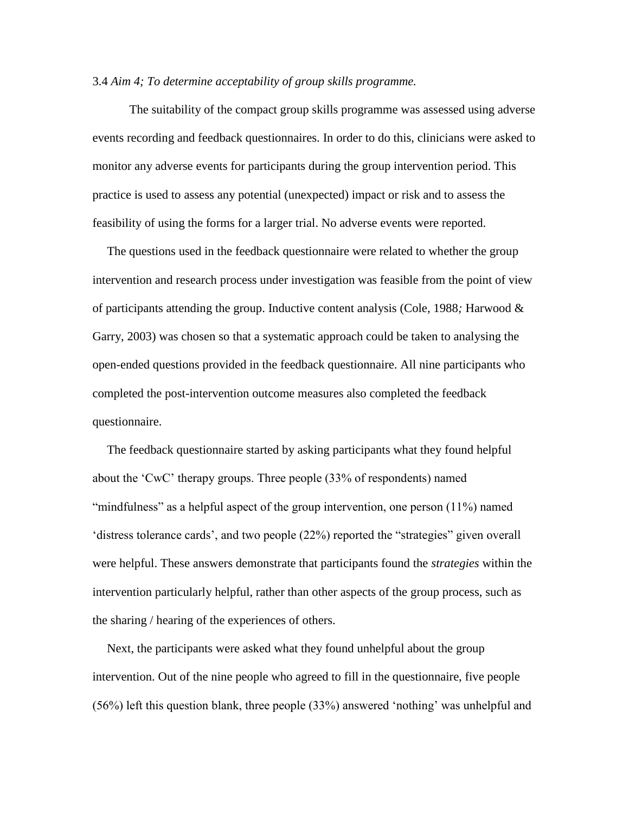## 3.4 *Aim 4; To determine acceptability of group skills programme.*

The suitability of the compact group skills programme was assessed using adverse events recording and feedback questionnaires. In order to do this, clinicians were asked to monitor any adverse events for participants during the group intervention period. This practice is used to assess any potential (unexpected) impact or risk and to assess the feasibility of using the forms for a larger trial. No adverse events were reported.

The questions used in the feedback questionnaire were related to whether the group intervention and research process under investigation was feasible from the point of view of participants attending the group. Inductive content analysis (Cole, 1988*;* Harwood & Garry, 2003) was chosen so that a systematic approach could be taken to analysing the open-ended questions provided in the feedback questionnaire. All nine participants who completed the post-intervention outcome measures also completed the feedback questionnaire.

The feedback questionnaire started by asking participants what they found helpful about the 'CwC' therapy groups. Three people (33% of respondents) named "mindfulness" as a helpful aspect of the group intervention, one person (11%) named 'distress tolerance cards', and two people (22%) reported the "strategies" given overall were helpful. These answers demonstrate that participants found the *strategies* within the intervention particularly helpful, rather than other aspects of the group process, such as the sharing / hearing of the experiences of others.

Next, the participants were asked what they found unhelpful about the group intervention. Out of the nine people who agreed to fill in the questionnaire, five people (56%) left this question blank, three people (33%) answered 'nothing' was unhelpful and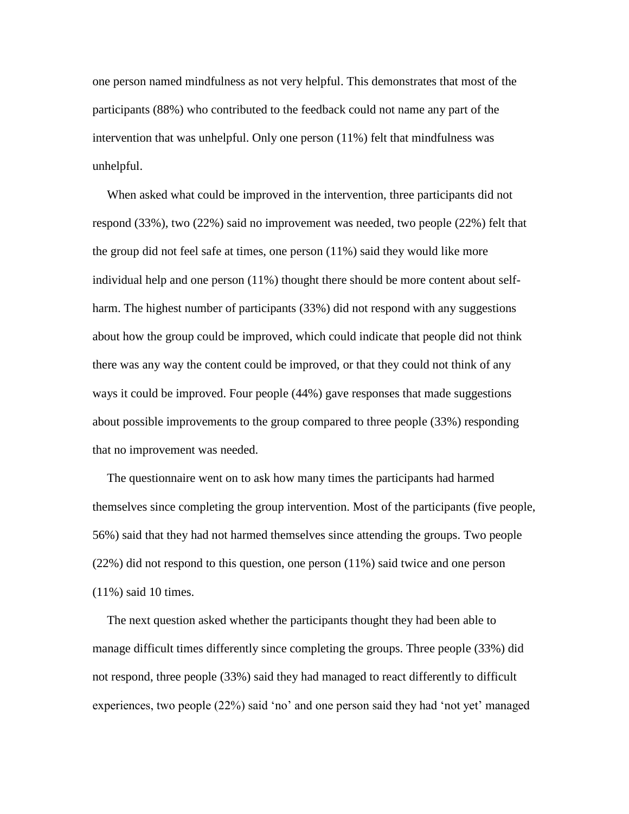one person named mindfulness as not very helpful. This demonstrates that most of the participants (88%) who contributed to the feedback could not name any part of the intervention that was unhelpful. Only one person (11%) felt that mindfulness was unhelpful.

When asked what could be improved in the intervention, three participants did not respond (33%), two (22%) said no improvement was needed, two people (22%) felt that the group did not feel safe at times, one person (11%) said they would like more individual help and one person (11%) thought there should be more content about selfharm. The highest number of participants (33%) did not respond with any suggestions about how the group could be improved, which could indicate that people did not think there was any way the content could be improved, or that they could not think of any ways it could be improved. Four people (44%) gave responses that made suggestions about possible improvements to the group compared to three people (33%) responding that no improvement was needed.

The questionnaire went on to ask how many times the participants had harmed themselves since completing the group intervention. Most of the participants (five people, 56%) said that they had not harmed themselves since attending the groups. Two people (22%) did not respond to this question, one person (11%) said twice and one person (11%) said 10 times.

The next question asked whether the participants thought they had been able to manage difficult times differently since completing the groups. Three people (33%) did not respond, three people (33%) said they had managed to react differently to difficult experiences, two people (22%) said 'no' and one person said they had 'not yet' managed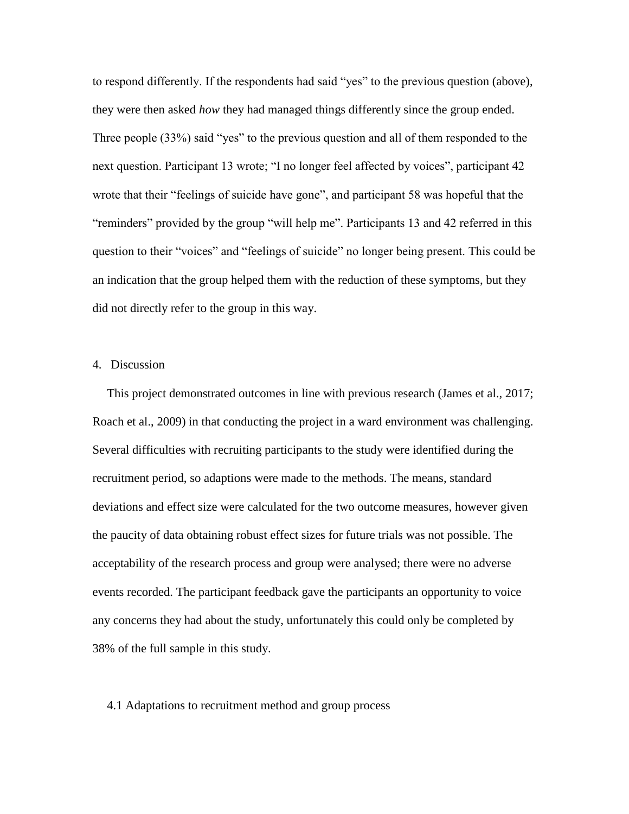to respond differently. If the respondents had said "yes" to the previous question (above), they were then asked *how* they had managed things differently since the group ended. Three people (33%) said "yes" to the previous question and all of them responded to the next question. Participant 13 wrote; "I no longer feel affected by voices", participant 42 wrote that their "feelings of suicide have gone", and participant 58 was hopeful that the "reminders" provided by the group "will help me". Participants 13 and 42 referred in this question to their "voices" and "feelings of suicide" no longer being present. This could be an indication that the group helped them with the reduction of these symptoms, but they did not directly refer to the group in this way.

#### 4. Discussion

This project demonstrated outcomes in line with previous research (James et al., 2017; Roach et al., 2009) in that conducting the project in a ward environment was challenging. Several difficulties with recruiting participants to the study were identified during the recruitment period, so adaptions were made to the methods. The means, standard deviations and effect size were calculated for the two outcome measures, however given the paucity of data obtaining robust effect sizes for future trials was not possible. The acceptability of the research process and group were analysed; there were no adverse events recorded. The participant feedback gave the participants an opportunity to voice any concerns they had about the study, unfortunately this could only be completed by 38% of the full sample in this study.

#### 4.1 Adaptations to recruitment method and group process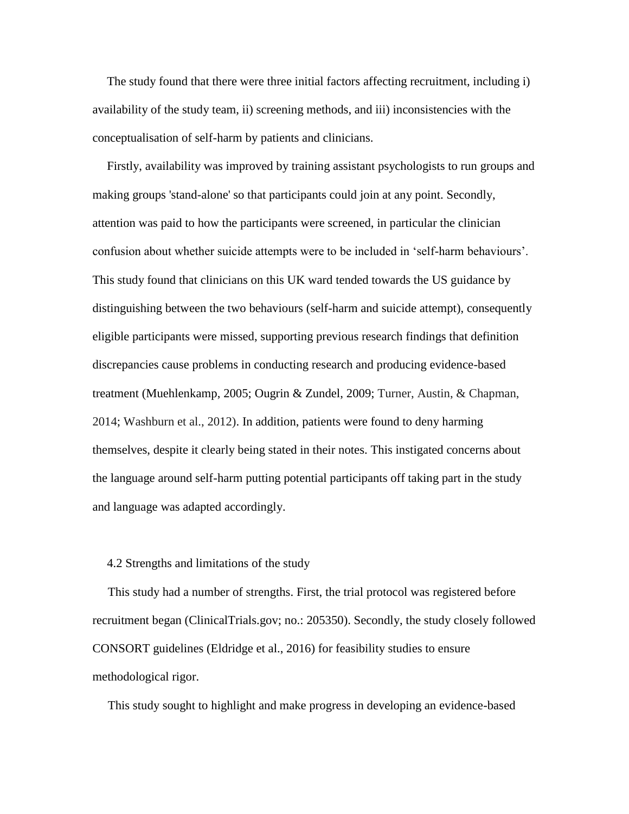The study found that there were three initial factors affecting recruitment, including i) availability of the study team, ii) screening methods, and iii) inconsistencies with the conceptualisation of self-harm by patients and clinicians.

Firstly, availability was improved by training assistant psychologists to run groups and making groups 'stand-alone' so that participants could join at any point. Secondly, attention was paid to how the participants were screened, in particular the clinician confusion about whether suicide attempts were to be included in 'self-harm behaviours'. This study found that clinicians on this UK ward tended towards the US guidance by distinguishing between the two behaviours (self-harm and suicide attempt), consequently eligible participants were missed, supporting previous research findings that definition discrepancies cause problems in conducting research and producing evidence-based treatment (Muehlenkamp, 2005; Ougrin & Zundel, 2009; Turner, Austin, & Chapman, 2014; Washburn et al., 2012). In addition, patients were found to deny harming themselves, despite it clearly being stated in their notes. This instigated concerns about the language around self-harm putting potential participants off taking part in the study and language was adapted accordingly.

#### 4.2 Strengths and limitations of the study

This study had a number of strengths. First, the trial protocol was registered before recruitment began (ClinicalTrials.gov; no.: 205350). Secondly, the study closely followed CONSORT guidelines (Eldridge et al., 2016) for feasibility studies to ensure methodological rigor.

This study sought to highlight and make progress in developing an evidence-based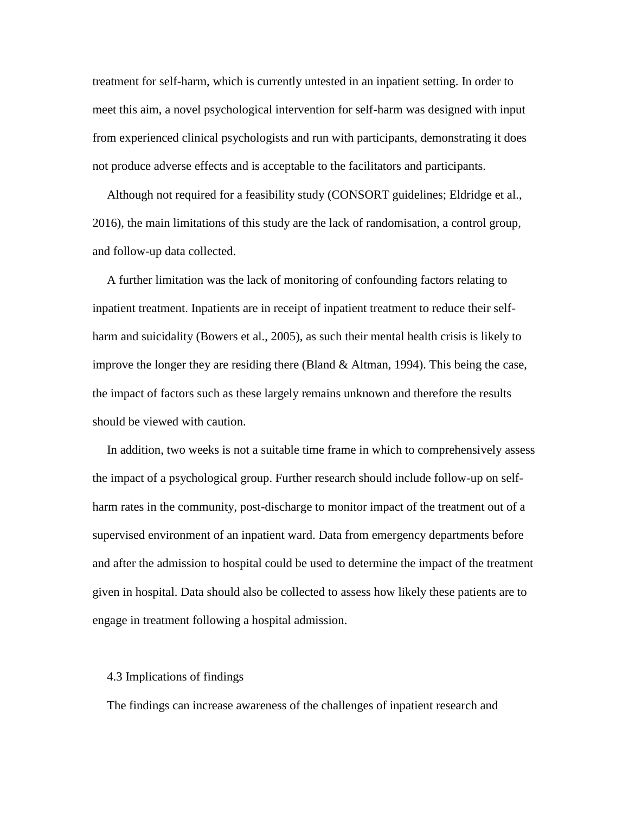treatment for self-harm, which is currently untested in an inpatient setting. In order to meet this aim, a novel psychological intervention for self-harm was designed with input from experienced clinical psychologists and run with participants, demonstrating it does not produce adverse effects and is acceptable to the facilitators and participants.

Although not required for a feasibility study (CONSORT guidelines; Eldridge et al., 2016), the main limitations of this study are the lack of randomisation, a control group, and follow-up data collected.

A further limitation was the lack of monitoring of confounding factors relating to inpatient treatment. Inpatients are in receipt of inpatient treatment to reduce their selfharm and suicidality (Bowers et al., 2005), as such their mental health crisis is likely to improve the longer they are residing there (Bland  $&$  Altman, 1994). This being the case, the impact of factors such as these largely remains unknown and therefore the results should be viewed with caution.

In addition, two weeks is not a suitable time frame in which to comprehensively assess the impact of a psychological group. Further research should include follow-up on selfharm rates in the community, post-discharge to monitor impact of the treatment out of a supervised environment of an inpatient ward. Data from emergency departments before and after the admission to hospital could be used to determine the impact of the treatment given in hospital. Data should also be collected to assess how likely these patients are to engage in treatment following a hospital admission.

#### 4.3 Implications of findings

The findings can increase awareness of the challenges of inpatient research and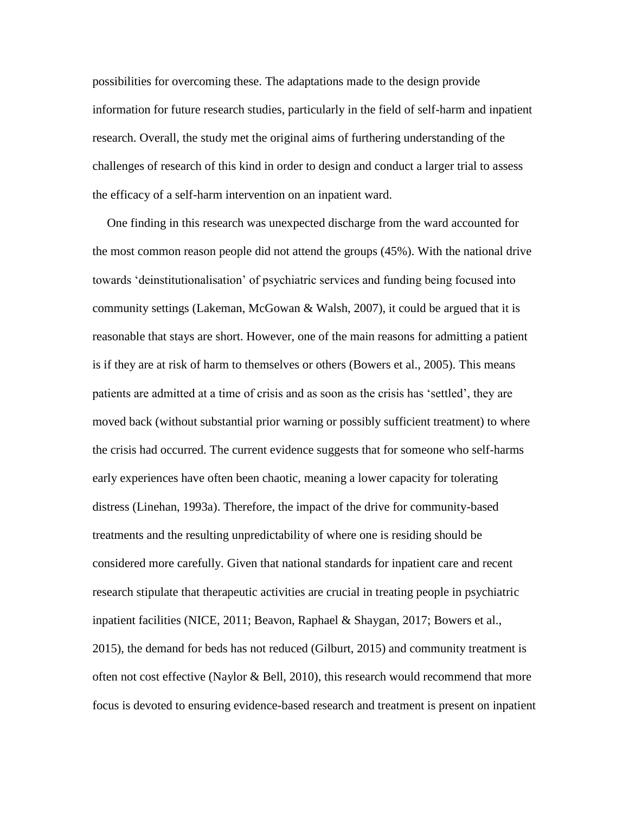possibilities for overcoming these. The adaptations made to the design provide information for future research studies, particularly in the field of self-harm and inpatient research. Overall, the study met the original aims of furthering understanding of the challenges of research of this kind in order to design and conduct a larger trial to assess the efficacy of a self-harm intervention on an inpatient ward.

One finding in this research was unexpected discharge from the ward accounted for the most common reason people did not attend the groups (45%). With the national drive towards 'deinstitutionalisation' of psychiatric services and funding being focused into community settings (Lakeman, McGowan & Walsh, 2007), it could be argued that it is reasonable that stays are short. However, one of the main reasons for admitting a patient is if they are at risk of harm to themselves or others (Bowers et al., 2005). This means patients are admitted at a time of crisis and as soon as the crisis has 'settled', they are moved back (without substantial prior warning or possibly sufficient treatment) to where the crisis had occurred. The current evidence suggests that for someone who self-harms early experiences have often been chaotic, meaning a lower capacity for tolerating distress (Linehan, 1993a). Therefore, the impact of the drive for community-based treatments and the resulting unpredictability of where one is residing should be considered more carefully. Given that national standards for inpatient care and recent research stipulate that therapeutic activities are crucial in treating people in psychiatric inpatient facilities (NICE, 2011; Beavon, Raphael & Shaygan, 2017; Bowers et al., 2015), the demand for beds has not reduced (Gilburt, 2015) and community treatment is often not cost effective (Naylor & Bell, 2010), this research would recommend that more focus is devoted to ensuring evidence-based research and treatment is present on inpatient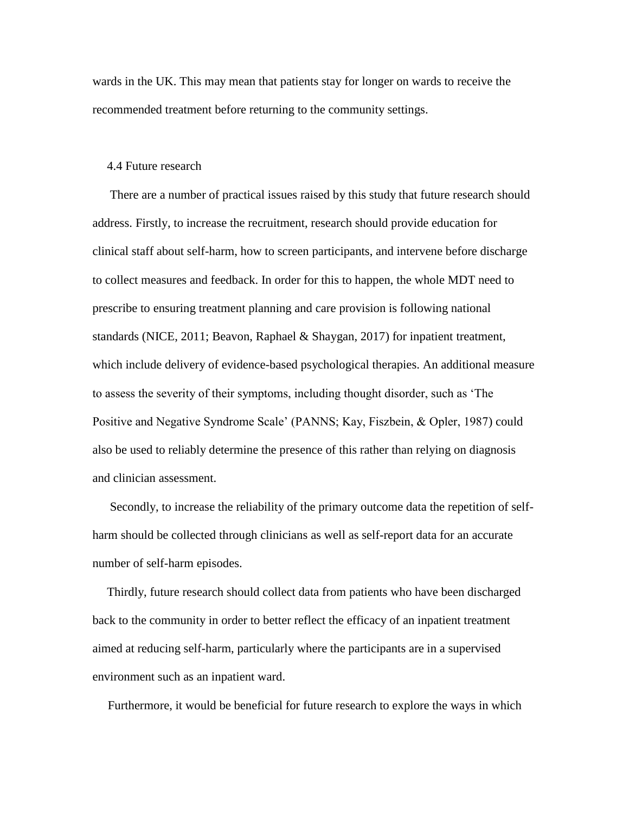wards in the UK. This may mean that patients stay for longer on wards to receive the recommended treatment before returning to the community settings.

#### 4.4 Future research

There are a number of practical issues raised by this study that future research should address. Firstly, to increase the recruitment, research should provide education for clinical staff about self-harm, how to screen participants, and intervene before discharge to collect measures and feedback. In order for this to happen, the whole MDT need to prescribe to ensuring treatment planning and care provision is following national standards (NICE, 2011; Beavon, Raphael & Shaygan, 2017) for inpatient treatment, which include delivery of evidence-based psychological therapies. An additional measure to assess the severity of their symptoms, including thought disorder, such as 'The Positive and Negative Syndrome Scale' (PANNS; Kay, Fiszbein, & Opler, 1987) could also be used to reliably determine the presence of this rather than relying on diagnosis and clinician assessment.

Secondly, to increase the reliability of the primary outcome data the repetition of selfharm should be collected through clinicians as well as self-report data for an accurate number of self-harm episodes.

Thirdly, future research should collect data from patients who have been discharged back to the community in order to better reflect the efficacy of an inpatient treatment aimed at reducing self-harm, particularly where the participants are in a supervised environment such as an inpatient ward.

Furthermore, it would be beneficial for future research to explore the ways in which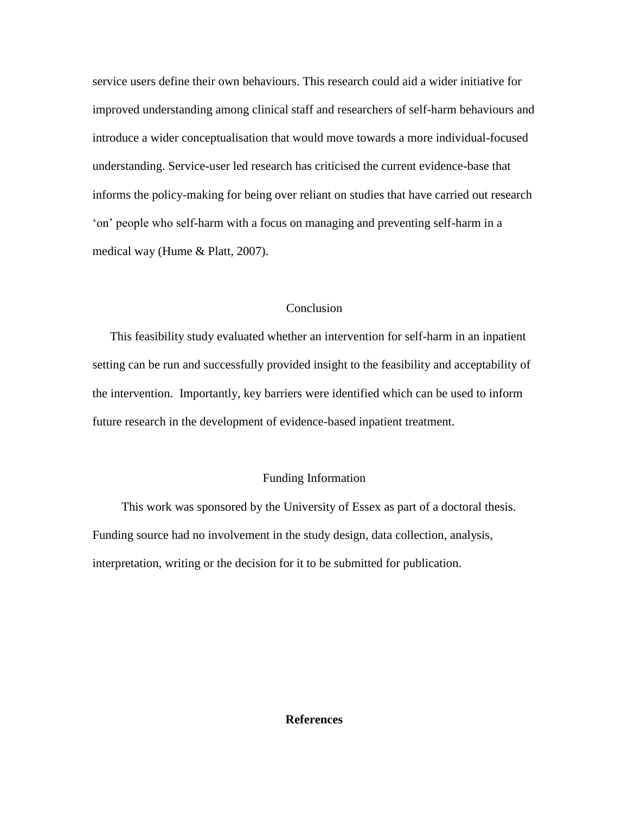service users define their own behaviours. This research could aid a wider initiative for improved understanding among clinical staff and researchers of self-harm behaviours and introduce a wider conceptualisation that would move towards a more individual-focused understanding. Service-user led research has criticised the current evidence-base that informs the policy-making for being over reliant on studies that have carried out research 'on' people who self-harm with a focus on managing and preventing self-harm in a medical way (Hume & Platt, 2007).

## Conclusion

This feasibility study evaluated whether an intervention for self-harm in an inpatient setting can be run and successfully provided insight to the feasibility and acceptability of the intervention. Importantly, key barriers were identified which can be used to inform future research in the development of evidence-based inpatient treatment.

## Funding Information

This work was sponsored by the University of Essex as part of a doctoral thesis. Funding source had no involvement in the study design, data collection, analysis, interpretation, writing or the decision for it to be submitted for publication.

## **References**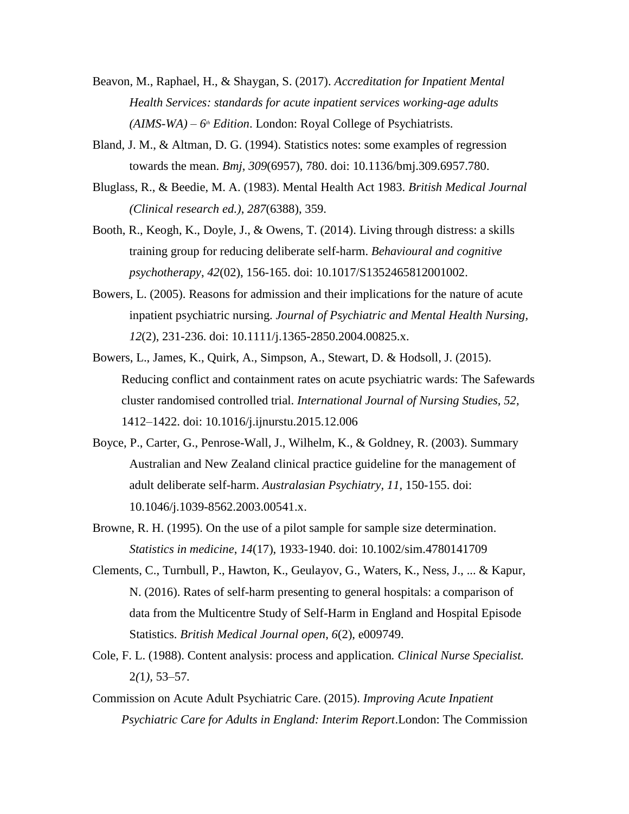- Beavon, M., Raphael, H., & Shaygan, S. (2017). *Accreditation for Inpatient Mental Health Services: standards for acute inpatient services working-age adults (AIMS-WA) – 6th Edition*. London: Royal College of Psychiatrists.
- Bland, J. M., & Altman, D. G. (1994). Statistics notes: some examples of regression towards the mean. *Bmj*, *309*(6957), 780. doi: 10.1136/bmj.309.6957.780.
- Bluglass, R., & Beedie, M. A. (1983). Mental Health Act 1983. *British Medical Journal (Clinical research ed.)*, *287*(6388), 359.
- Booth, R., Keogh, K., Doyle, J., & Owens, T. (2014). Living through distress: a skills training group for reducing deliberate self-harm. *Behavioural and cognitive psychotherapy*, *42*(02), 156-165. doi: 10.1017/S1352465812001002.
- Bowers, L. (2005). Reasons for admission and their implications for the nature of acute inpatient psychiatric nursing. *Journal of Psychiatric and Mental Health Nursing, 12*(2), 231-236. doi: 10.1111/j.1365-2850.2004.00825.x.
- Bowers, L., James, K., Quirk, A., Simpson, A., Stewart, D. & Hodsoll, J. (2015). Reducing conflict and containment rates on acute psychiatric wards: The Safewards cluster randomised controlled trial. *International Journal of Nursing Studies, 52,* 1412–1422. doi: [10.1016/j.ijnurstu.2015.12.006](http://dx.doi.org/10.1016/j.ijnurstu.2015.12.006)
- Boyce, P., Carter, G., Penrose-Wall, J., Wilhelm, K., & Goldney, R. (2003). Summary Australian and New Zealand clinical practice guideline for the management of adult deliberate self-harm. *Australasian Psychiatry, 11,* 150-155. doi: 10.1046/j.1039-8562.2003.00541.x.
- Browne, R. H. (1995). On the use of a pilot sample for sample size determination. *Statistics in medicine*, *14*(17), 1933-1940. doi: 10.1002/sim.4780141709
- Clements, C., Turnbull, P., Hawton, K., Geulayov, G., Waters, K., Ness, J., ... & Kapur, N. (2016). Rates of self-harm presenting to general hospitals: a comparison of data from the Multicentre Study of Self-Harm in England and Hospital Episode Statistics. *British Medical Journal open*, *6*(2), e009749.
- Cole, F. L. (1988). Content analysis: process and application*. Clinical Nurse Specialist.*  2*(*1*),* 53*–*57*.*
- Commission on Acute Adult Psychiatric Care. (2015). *Improving Acute Inpatient Psychiatric Care for Adults in England: Interim Report*.London: The Commission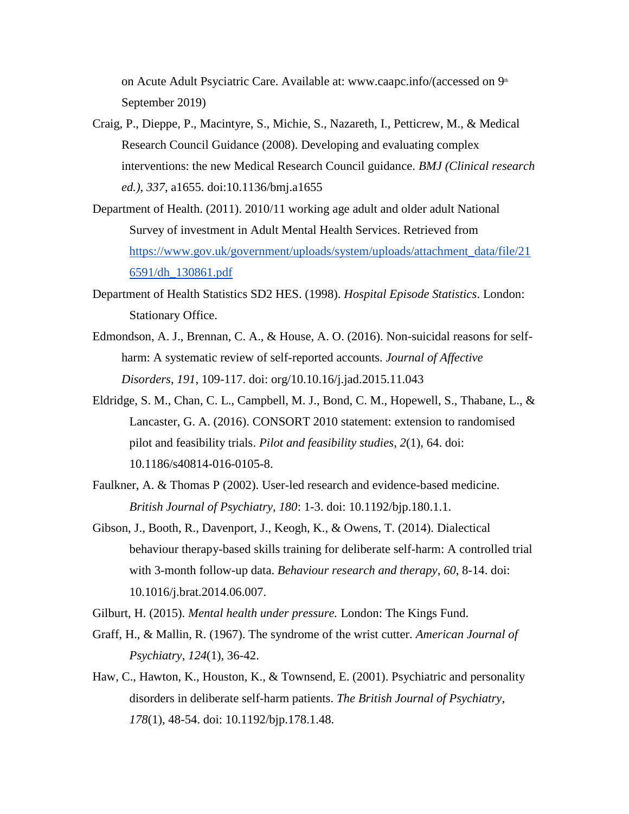on Acute Adult Psyciatric Care. Available at: www.caapc.info/(accessed on  $9<sup>th</sup>$ September 2019)

- Craig, P., Dieppe, P., Macintyre, S., Michie, S., Nazareth, I., Petticrew, M., & Medical Research Council Guidance (2008). Developing and evaluating complex interventions: the new Medical Research Council guidance. *BMJ (Clinical research ed.)*, *337*, a1655. doi:10.1136/bmj.a1655
- Department of Health. (2011). 2010/11 working age adult and older adult National Survey of investment in Adult Mental Health Services. Retrieved from [https://www.gov.uk/government/uploads/system/uploads/attachment\\_data/file/21](https://www.gov.uk/government/uploads/system/uploads/attachment_data/file/216591/dh_130861.pdf) [6591/dh\\_130861.pdf](https://www.gov.uk/government/uploads/system/uploads/attachment_data/file/216591/dh_130861.pdf)
- Department of Health Statistics SD2 HES. (1998). *Hospital Episode Statistics*. London: Stationary Office.
- Edmondson, A. J., Brennan, C. A., & House, A. O. (2016). Non-suicidal reasons for selfharm: A systematic review of self-reported accounts. *Journal of Affective Disorders*, *191*, 109-117. doi: org/10.10.16/j.jad.2015.11.043
- Eldridge, S. M., Chan, C. L., Campbell, M. J., Bond, C. M., Hopewell, S., Thabane, L., & Lancaster, G. A. (2016). CONSORT 2010 statement: extension to randomised pilot and feasibility trials. *Pilot and feasibility studies*, *2*(1), 64. doi: 10.1186/s40814-016-0105-8.
- Faulkner, A. & Thomas P (2002). User-led research and evidence-based medicine. *British Journal of Psychiatry, 180*: 1-3. doi: 10.1192/bjp.180.1.1.
- Gibson, J., Booth, R., Davenport, J., Keogh, K., & Owens, T. (2014). Dialectical behaviour therapy-based skills training for deliberate self-harm: A controlled trial with 3-month follow-up data. *Behaviour research and therapy*, *60*, 8-14. doi: 10.1016/j.brat.2014.06.007.
- Gilburt, H. (2015). *Mental health under pressure.* London: The Kings Fund.
- Graff, H., & Mallin, R. (1967). The syndrome of the wrist cutter. *American Journal of Psychiatry*, *124*(1), 36-42.
- Haw, C., Hawton, K., Houston, K., & Townsend, E. (2001). Psychiatric and personality disorders in deliberate self-harm patients. *The British Journal of Psychiatry*, *178*(1), 48-54. doi: 10.1192/bjp.178.1.48.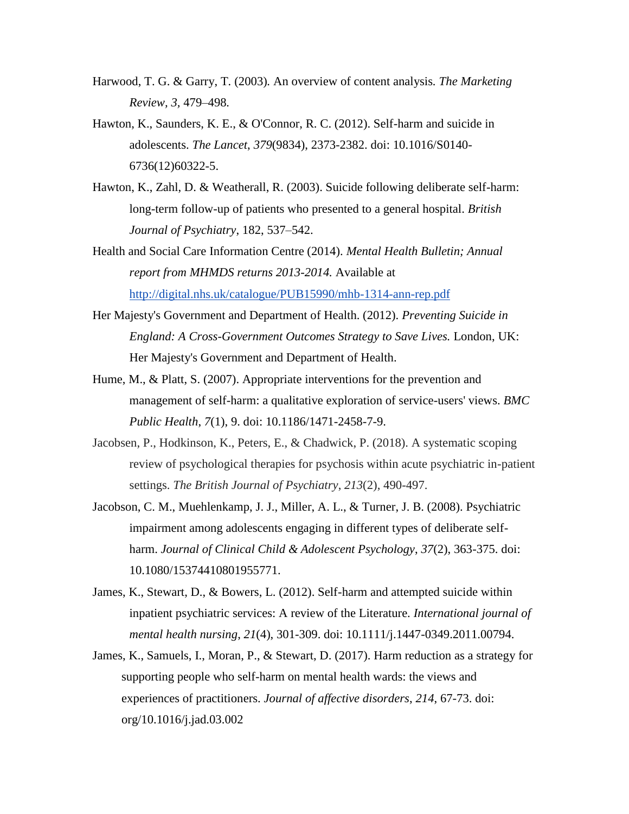- Harwood, T. G. & Garry, T*.* (2003)*.* An overview of content analysis*. The Marketing Review, 3,* 479*–*498*.*
- Hawton, K., Saunders, K. E., & O'Connor, R. C. (2012). Self-harm and suicide in adolescents. *The Lancet*, *379*(9834), 2373-2382. doi: 10.1016/S0140- 6736(12)60322-5.
- Hawton, K., Zahl, D. & Weatherall, R. (2003). Suicide following deliberate self-harm: long-term follow-up of patients who presented to a general hospital. *British Journal of Psychiatry*, 182, 537–542.
- Health and Social Care Information Centre (2014). *Mental Health Bulletin; Annual report from MHMDS returns 2013-2014.* Available at <http://digital.nhs.uk/catalogue/PUB15990/mhb-1314-ann-rep.pdf>
- Her Majesty's Government and Department of Health. (2012). *Preventing Suicide in England: A Cross-Government Outcomes Strategy to Save Lives.* London, UK: Her Majesty's Government and Department of Health.
- Hume, M., & Platt, S. (2007). Appropriate interventions for the prevention and management of self-harm: a qualitative exploration of service-users' views. *BMC Public Health*, *7*(1), 9. doi: 10.1186/1471-2458-7-9.
- Jacobsen, P., Hodkinson, K., Peters, E., & Chadwick, P. (2018). A systematic scoping review of psychological therapies for psychosis within acute psychiatric in-patient settings. *The British Journal of Psychiatry*, *213*(2), 490-497.
- Jacobson, C. M., Muehlenkamp, J. J., Miller, A. L., & Turner, J. B. (2008). Psychiatric impairment among adolescents engaging in different types of deliberate selfharm. *Journal of Clinical Child & Adolescent Psychology*, *37*(2), 363-375. doi: 10.1080/15374410801955771.
- James, K., Stewart, D., & Bowers, L. (2012). Self-harm and attempted suicide within inpatient psychiatric services: A review of the Literature. *International journal of mental health nursing*, *21*(4), 301-309. doi: 10.1111/j.1447-0349.2011.00794.
- James, K., Samuels, I., Moran, P., & Stewart, D. (2017). Harm reduction as a strategy for supporting people who self-harm on mental health wards: the views and experiences of practitioners. *Journal of affective disorders*, *214*, 67-73. doi: org/10.1016/j.jad.03.002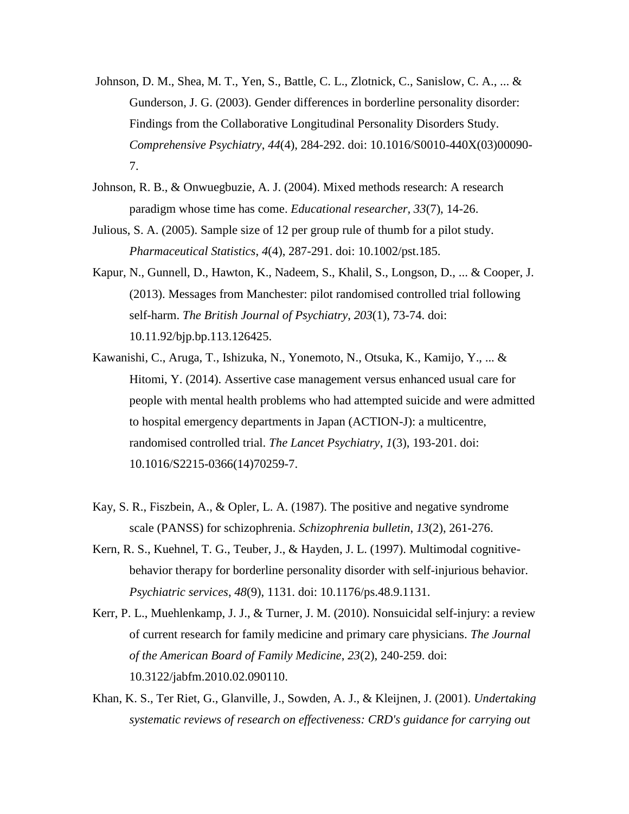- Johnson, D. M., Shea, M. T., Yen, S., Battle, C. L., Zlotnick, C., Sanislow, C. A., ... & Gunderson, J. G. (2003). Gender differences in borderline personality disorder: Findings from the Collaborative Longitudinal Personality Disorders Study. *Comprehensive Psychiatry*, *44*(4), 284-292. doi: 10.1016/S0010-440X(03)00090- 7.
- Johnson, R. B., & Onwuegbuzie, A. J. (2004). Mixed methods research: A research paradigm whose time has come. *Educational researcher, 33*(7), 14-26.
- Julious, S. A. (2005). Sample size of 12 per group rule of thumb for a pilot study. *Pharmaceutical Statistics*, *4*(4), 287-291. doi: 10.1002/pst.185.
- Kapur, N., Gunnell, D., Hawton, K., Nadeem, S., Khalil, S., Longson, D., ... & Cooper, J. (2013). Messages from Manchester: pilot randomised controlled trial following self-harm. *The British Journal of Psychiatry*, *203*(1), 73-74. doi: 10.11.92/bjp.bp.113.126425.
- Kawanishi, C., Aruga, T., Ishizuka, N., Yonemoto, N., Otsuka, K., Kamijo, Y., ... & Hitomi, Y. (2014). Assertive case management versus enhanced usual care for people with mental health problems who had attempted suicide and were admitted to hospital emergency departments in Japan (ACTION-J): a multicentre, randomised controlled trial. *The Lancet Psychiatry*, *1*(3), 193-201. doi: 10.1016/S2215-0366(14)70259-7.
- Kay, S. R., Fiszbein, A., & Opler, L. A. (1987). The positive and negative syndrome scale (PANSS) for schizophrenia. *Schizophrenia bulletin*, *13*(2), 261-276.
- Kern, R. S., Kuehnel, T. G., Teuber, J., & Hayden, J. L. (1997). Multimodal cognitivebehavior therapy for borderline personality disorder with self-injurious behavior. *Psychiatric services*, *48*(9), 1131. doi: 10.1176/ps.48.9.1131.
- Kerr, P. L., Muehlenkamp, J. J., & Turner, J. M. (2010). Nonsuicidal self-injury: a review of current research for family medicine and primary care physicians. *The Journal of the American Board of Family Medicine*, *23*(2), 240-259. doi: 10.3122/jabfm.2010.02.090110.
- Khan, K. S., Ter Riet, G., Glanville, J., Sowden, A. J., & Kleijnen, J. (2001). *Undertaking systematic reviews of research on effectiveness: CRD's guidance for carrying out*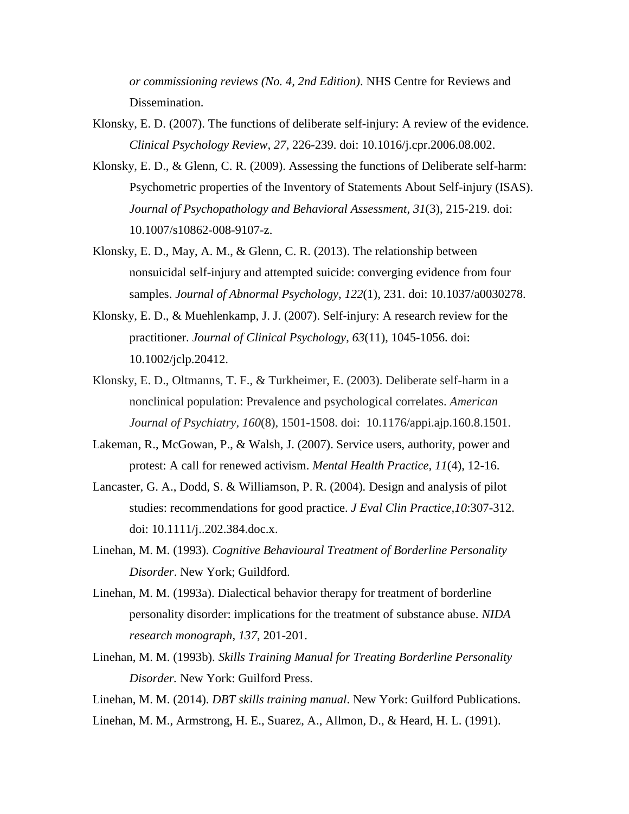*or commissioning reviews (No. 4, 2nd Edition)*. NHS Centre for Reviews and Dissemination.

- Klonsky, E. D. (2007). The functions of deliberate self-injury: A review of the evidence. *Clinical Psychology Review, 27*, 226-239. doi: 10.1016/j.cpr.2006.08.002.
- Klonsky, E. D., & Glenn, C. R. (2009). Assessing the functions of Deliberate self-harm: Psychometric properties of the Inventory of Statements About Self-injury (ISAS). *Journal of Psychopathology and Behavioral Assessment*, *31*(3), 215-219. doi: 10.1007/s10862-008-9107-z.
- Klonsky, E. D., May, A. M., & Glenn, C. R. (2013). The relationship between nonsuicidal self-injury and attempted suicide: converging evidence from four samples. *Journal of Abnormal Psychology*, *122*(1), 231. doi: 10.1037/a0030278.
- Klonsky, E. D., & Muehlenkamp, J. J. (2007). Self‐injury: A research review for the practitioner. *Journal of Clinical Psychology*, *63*(11), 1045-1056. doi: 10.1002/jclp.20412.
- Klonsky, E. D., Oltmanns, T. F., & Turkheimer, E. (2003). Deliberate self-harm in a nonclinical population: Prevalence and psychological correlates. *American Journal of Psychiatry*, *160*(8), 1501-1508. doi: 10.1176/appi.ajp.160.8.1501.
- Lakeman, R., McGowan, P., & Walsh, J. (2007). Service users, authority, power and protest: A call for renewed activism. *Mental Health Practice, 11*(4), 12-16.
- Lancaster, G. A., Dodd, S. & Williamson, P. R. (2004)*.* Design and analysis of pilot studies: recommendations for good practice. *J Eval Clin Practice,10*:307-312. doi: 10.1111/j..202.384.doc.x.
- Linehan, M. M. (1993). *Cognitive Behavioural Treatment of Borderline Personality Disorder*. New York; Guildford.
- Linehan, M. M. (1993a). Dialectical behavior therapy for treatment of borderline personality disorder: implications for the treatment of substance abuse. *NIDA research monograph*, *137*, 201-201.
- Linehan, M. M. (1993b). *Skills Training Manual for Treating Borderline Personality Disorder.* New York: Guilford Press.

Linehan, M. M. (2014). *DBT skills training manual*. New York: Guilford Publications.

Linehan, M. M., Armstrong, H. E., Suarez, A., Allmon, D., & Heard, H. L. (1991).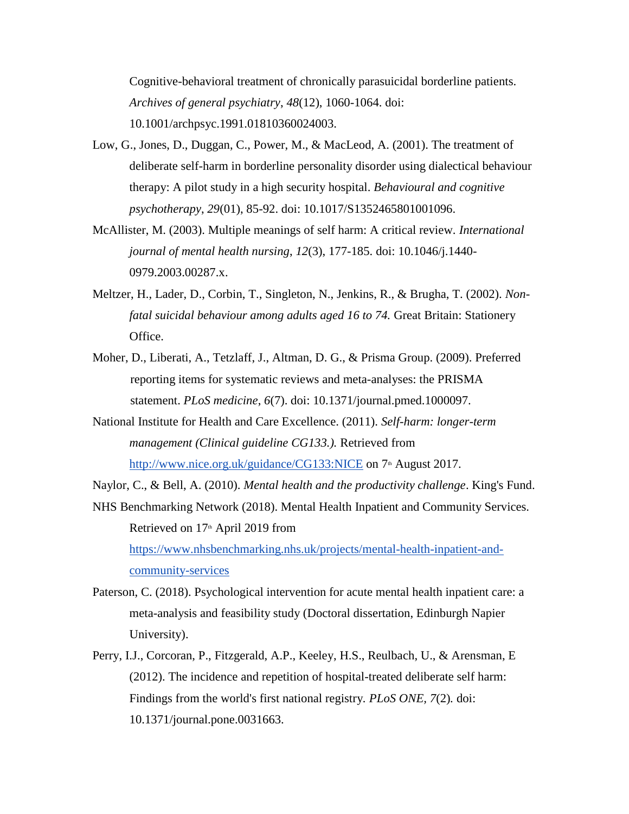Cognitive-behavioral treatment of chronically parasuicidal borderline patients. *Archives of general psychiatry*, *48*(12), 1060-1064. doi:

10.1001/archpsyc.1991.01810360024003.

- Low, G., Jones, D., Duggan, C., Power, M., & MacLeod, A. (2001). The treatment of deliberate self-harm in borderline personality disorder using dialectical behaviour therapy: A pilot study in a high security hospital. *Behavioural and cognitive psychotherapy*, *29*(01), 85-92. doi: 10.1017/S1352465801001096.
- McAllister, M. (2003). Multiple meanings of self harm: A critical review. *International journal of mental health nursing*, *12*(3), 177-185. doi: 10.1046/j.1440- 0979.2003.00287.x.
- Meltzer, H., Lader, D., Corbin, T., Singleton, N., Jenkins, R., & Brugha, T. (2002). *Nonfatal suicidal behaviour among adults aged 16 to 74.* Great Britain: Stationery Office.
- Moher, D., Liberati, A., Tetzlaff, J., Altman, D. G., & Prisma Group. (2009). Preferred reporting items for systematic reviews and meta-analyses: the PRISMA statement. *PLoS medicine*, *6*(7). doi: 10.1371/journal.pmed.1000097.
- National Institute for Health and Care Excellence. (2011). *Self-harm: longer-term management (Clinical guideline CG133.).* Retrieved from <http://www.nice.org.uk/guidance/CG133:NICE> on 7<sup>th</sup> August 2017.

Naylor, C., & Bell, A. (2010). *Mental health and the productivity challenge*. King's Fund.

NHS Benchmarking Network (2018). Mental Health Inpatient and Community Services. Retrieved on 17<sup>th</sup> April 2019 from [https://www.nhsbenchmarking.nhs.uk/projects/mental-health-inpatient-and](https://www.nhsbenchmarking.nhs.uk/projects/mental-health-inpatient-and-community-services)[community-services](https://www.nhsbenchmarking.nhs.uk/projects/mental-health-inpatient-and-community-services)

- Paterson, C. (2018). Psychological intervention for acute mental health inpatient care: a meta-analysis and feasibility study (Doctoral dissertation, Edinburgh Napier University).
- Perry, I.J., Corcoran, P., Fitzgerald, A.P., Keeley, H.S., Reulbach, U., & Arensman, E (2012). The incidence and repetition of hospital-treated deliberate self harm: Findings from the world's first national registry*. PLoS ONE, 7*(2)*.* doi: 10.1371/journal.pone.0031663.